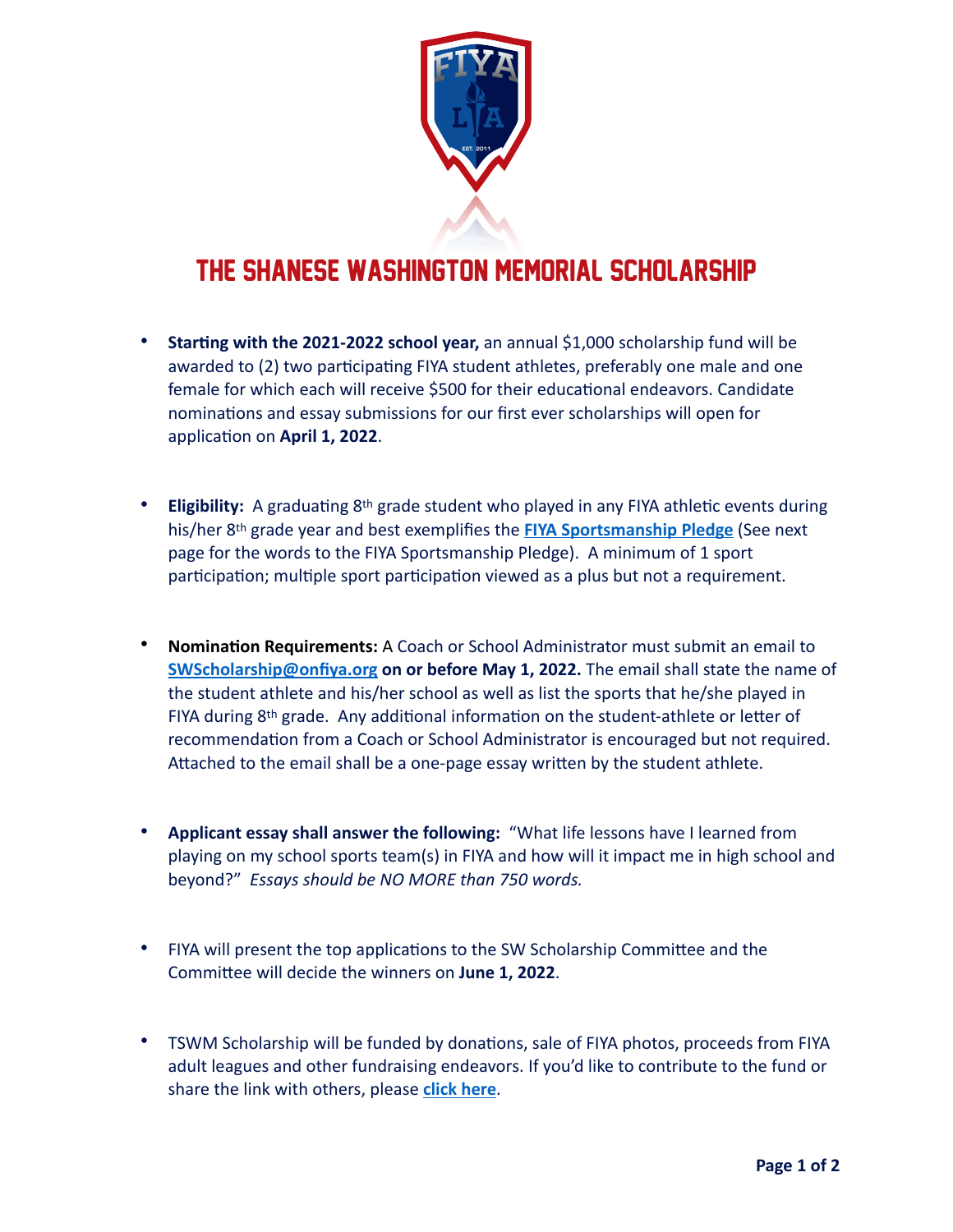

## THE Shanese Washington Memorial Scholarship

- **Starting with the 2021-2022 school year,** an annual \$1,000 scholarship fund will be awarded to (2) two participating FIYA student athletes, preferably one male and one female for which each will receive \$500 for their educational endeavors. Candidate nominations and essay submissions for our first ever scholarships will open for application on **April 1, 2022**.
- **Eligibility:** A graduating 8th grade student who played in any FIYA athletic events during his/her 8th grade year and best exemplifies the **[FIYA Sportsmanship Pledge](https://onfiya.org/participants/sportsmanship/)** (See next page for the words to the FIYA Sportsmanship Pledge). A minimum of 1 sport participation; multiple sport participation viewed as a plus but not a requirement.
- **Nomination Requirements:** A Coach or School Administrator must submit an email to **[SWScholarship@onfiya.org](mailto:SWScholarship@onfiya.org) on or before May 1, 2022.** The email shall state the name of the student athlete and his/her school as well as list the sports that he/she played in FIYA during 8th grade. Any additional information on the student-athlete or letter of recommendation from a Coach or School Administrator is encouraged but not required. Attached to the email shall be a one-page essay written by the student athlete.
- **Applicant essay shall answer the following:** "What life lessons have I learned from playing on my school sports team(s) in FIYA and how will it impact me in high school and beyond?" *Essays should be NO MORE than 750 words.*
- FIYA will present the top applications to the SW Scholarship Committee and the Committee will decide the winners on **June 1, 2022**.
- TSWM Scholarship will be funded by donations, sale of FIYA photos, proceeds from FIYA adult leagues and other fundraising endeavors. If you'd like to contribute to the fund or share the link with others, please **[click here](https://kindest.com/shanese-washington-memorial-scholarship-fund)**.